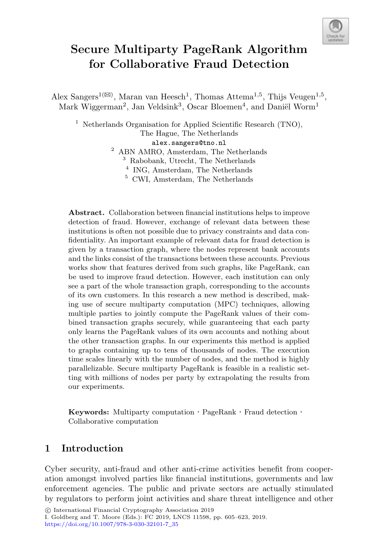

# **Secure Multiparty PageRank Algorithm for Collaborative Fraud Detection**

Alex Sangers<sup>1( $\boxtimes$ )</sup>, Maran van Heesch<sup>1</sup>, Thomas Attema<sup>1,5</sup>, Thijs Veugen<sup>1,5</sup>, Mark Wiggerman<sup>2</sup>, Jan Veldsink<sup>3</sup>, Oscar Bloemen<sup>4</sup>, and Daniël Worm<sup>1</sup>

<sup>1</sup> Netherlands Organisation for Applied Scientific Research (TNO), The Hague, The Netherlands alex.sangers@tno.nl <sup>2</sup> ABN AMRO, Amsterdam, The Netherlands <sup>3</sup> Rabobank, Utrecht, The Netherlands <sup>4</sup> ING, Amsterdam, The Netherlands <sup>5</sup> CWI, Amsterdam, The Netherlands

**Abstract.** Collaboration between financial institutions helps to improve detection of fraud. However, exchange of relevant data between these institutions is often not possible due to privacy constraints and data confidentiality. An important example of relevant data for fraud detection is given by a transaction graph, where the nodes represent bank accounts and the links consist of the transactions between these accounts. Previous works show that features derived from such graphs, like PageRank, can be used to improve fraud detection. However, each institution can only see a part of the whole transaction graph, corresponding to the accounts of its own customers. In this research a new method is described, making use of secure multiparty computation (MPC) techniques, allowing multiple parties to jointly compute the PageRank values of their combined transaction graphs securely, while guaranteeing that each party only learns the PageRank values of its own accounts and nothing about the other transaction graphs. In our experiments this method is applied to graphs containing up to tens of thousands of nodes. The execution time scales linearly with the number of nodes, and the method is highly parallelizable. Secure multiparty PageRank is feasible in a realistic setting with millions of nodes per party by extrapolating the results from our experiments.

**Keywords:** Multiparty computation · PageRank · Fraud detection · Collaborative computation

# **1 Introduction**

Cyber security, anti-fraud and other anti-crime activities benefit from cooperation amongst involved parties like financial institutions, governments and law enforcement agencies. The public and private sectors are actually stimulated by regulators to perform joint activities and share threat intelligence and other

I. Goldberg and T. Moore (Eds.): FC 2019, LNCS 11598, pp. 605–623, 2019. [https://doi.org/10.1007/978-3-030-32101-7](https://doi.org/10.1007/978-3-030-32101-7_35)\_35

<sup>-</sup>c International Financial Cryptography Association 2019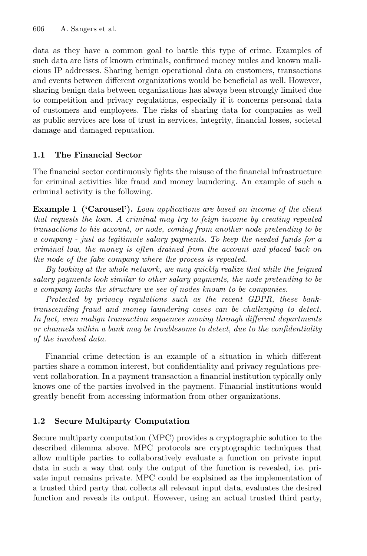data as they have a common goal to battle this type of crime. Examples of such data are lists of known criminals, confirmed money mules and known malicious IP addresses. Sharing benign operational data on customers, transactions and events between different organizations would be beneficial as well. However, sharing benign data between organizations has always been strongly limited due to competition and privacy regulations, especially if it concerns personal data of customers and employees. The risks of sharing data for companies as well as public services are loss of trust in services, integrity, financial losses, societal damage and damaged reputation.

# **1.1 The Financial Sector**

The financial sector continuously fights the misuse of the financial infrastructure for criminal activities like fraud and money laundering. An example of such a criminal activity is the following.

**Example 1 ('Carousel').** *Loan applications are based on income of the client that requests the loan. A criminal may try to feign income by creating repeated transactions to his account, or node, coming from another node pretending to be a company - just as legitimate salary payments. To keep the needed funds for a criminal low, the money is often drained from the account and placed back on the node of the fake company where the process is repeated.*

*By looking at the whole network, we may quickly realize that while the feigned salary payments look similar to other salary payments, the node pretending to be a company lacks the structure we see of nodes known to be companies.*

*Protected by privacy regulations such as the recent GDPR, these banktranscending fraud and money laundering cases can be challenging to detect. In fact, even malign transaction sequences moving through different departments or channels within a bank may be troublesome to detect, due to the confidentiality of the involved data.*

Financial crime detection is an example of a situation in which different parties share a common interest, but confidentiality and privacy regulations prevent collaboration. In a payment transaction a financial institution typically only knows one of the parties involved in the payment. Financial institutions would greatly benefit from accessing information from other organizations.

# **1.2 Secure Multiparty Computation**

Secure multiparty computation (MPC) provides a cryptographic solution to the described dilemma above. MPC protocols are cryptographic techniques that allow multiple parties to collaboratively evaluate a function on private input data in such a way that only the output of the function is revealed, i.e. private input remains private. MPC could be explained as the implementation of a trusted third party that collects all relevant input data, evaluates the desired function and reveals its output. However, using an actual trusted third party,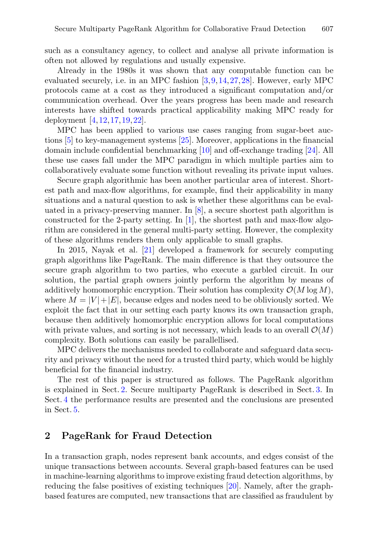such as a consultancy agency, to collect and analyse all private information is often not allowed by regulations and usually expensive.

Already in the 1980s it was shown that any computable function can be evaluated securely, i.e. in an MPC fashion [\[3](#page-16-0)[,9](#page-16-1),[14,](#page-17-0)[27](#page-18-0)[,28](#page-18-1)]. However, early MPC protocols came at a cost as they introduced a significant computation and/or communication overhead. Over the years progress has been made and research interests have shifted towards practical applicability making MPC ready for deployment [\[4](#page-16-2)[,12](#page-17-1)[,17](#page-17-2),[19,](#page-17-3)[22\]](#page-17-4).

MPC has been applied to various use cases ranging from sugar-beet auctions [\[5](#page-16-3)] to key-management systems [\[25\]](#page-18-2). Moreover, applications in the financial domain include confidential benchmarking [\[10](#page-16-4)] and off-exchange trading [\[24](#page-17-5)]. All these use cases fall under the MPC paradigm in which multiple parties aim to collaboratively evaluate some function without revealing its private input values.

Secure graph algorithmic has been another particular area of interest. Shortest path and max-flow algorithms, for example, find their applicability in many situations and a natural question to ask is whether these algorithms can be evaluated in a privacy-preserving manner. In [\[8](#page-16-5)], a secure shortest path algorithm is constructed for the 2-party setting. In [\[1\]](#page-16-6), the shortest path and max-flow algorithm are considered in the general multi-party setting. However, the complexity of these algorithms renders them only applicable to small graphs.

In 2015, Nayak et al. [\[21\]](#page-17-6) developed a framework for securely computing graph algorithms like PageRank. The main difference is that they outsource the secure graph algorithm to two parties, who execute a garbled circuit. In our solution, the partial graph owners jointly perform the algorithm by means of additively homomorphic encryption. Their solution has complexity  $\mathcal{O}(M \log M)$ , where  $M = |V| + |E|$ , because edges and nodes need to be obliviously sorted. We exploit the fact that in our setting each party knows its own transaction graph, because then additively homomorphic encryption allows for local computations with private values, and sorting is not necessary, which leads to an overall  $\mathcal{O}(M)$ complexity. Both solutions can easily be parallellised.

MPC delivers the mechanisms needed to collaborate and safeguard data security and privacy without the need for a trusted third party, which would be highly beneficial for the financial industry.

The rest of this paper is structured as follows. The PageRank algorithm is explained in Sect. [2.](#page-2-0) Secure multiparty PageRank is described in Sect. [3.](#page-4-0) In Sect. [4](#page-9-0) the performance results are presented and the conclusions are presented in Sect. [5.](#page-14-0)

### <span id="page-2-0"></span>**2 PageRank for Fraud Detection**

In a transaction graph, nodes represent bank accounts, and edges consist of the unique transactions between accounts. Several graph-based features can be used in machine-learning algorithms to improve existing fraud detection algorithms, by reducing the false positives of existing techniques [\[20](#page-17-7)]. Namely, after the graphbased features are computed, new transactions that are classified as fraudulent by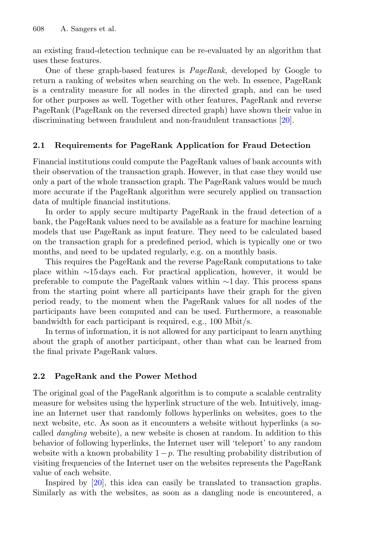an existing fraud-detection technique can be re-evaluated by an algorithm that uses these features.

One of these graph-based features is *PageRank*, developed by Google to return a ranking of websites when searching on the web. In essence, PageRank is a centrality measure for all nodes in the directed graph, and can be used for other purposes as well. Together with other features, PageRank and reverse PageRank (PageRank on the reversed directed graph) have shown their value in discriminating between fraudulent and non-fraudulent transactions [\[20](#page-17-7)].

### **2.1 Requirements for PageRank Application for Fraud Detection**

Financial institutions could compute the PageRank values of bank accounts with their observation of the transaction graph. However, in that case they would use only a part of the whole transaction graph. The PageRank values would be much more accurate if the PageRank algorithm were securely applied on transaction data of multiple financial institutions.

In order to apply secure multiparty PageRank in the fraud detection of a bank, the PageRank values need to be available as a feature for machine learning models that use PageRank as input feature. They need to be calculated based on the transaction graph for a predefined period, which is typically one or two months, and need to be updated regularly, e.g. on a monthly basis.

This requires the PageRank and the reverse PageRank computations to take place within ∼15 days each. For practical application, however, it would be preferable to compute the PageRank values within ∼1 day. This process spans from the starting point where all participants have their graph for the given period ready, to the moment when the PageRank values for all nodes of the participants have been computed and can be used. Furthermore, a reasonable bandwidth for each participant is required, e.g., 100 Mbit/s.

In terms of information, it is not allowed for any participant to learn anything about the graph of another participant, other than what can be learned from the final private PageRank values.

### **2.2 PageRank and the Power Method**

The original goal of the PageRank algorithm is to compute a scalable centrality measure for websites using the hyperlink structure of the web. Intuitively, imagine an Internet user that randomly follows hyperlinks on websites, goes to the next website, etc. As soon as it encounters a website without hyperlinks (a socalled *dangling* website), a new website is chosen at random. In addition to this behavior of following hyperlinks, the Internet user will 'teleport' to any random website with a known probability  $1-p$ . The resulting probability distribution of visiting frequencies of the Internet user on the websites represents the PageRank value of each website.

Inspired by [\[20](#page-17-7)], this idea can easily be translated to transaction graphs. Similarly as with the websites, as soon as a dangling node is encountered, a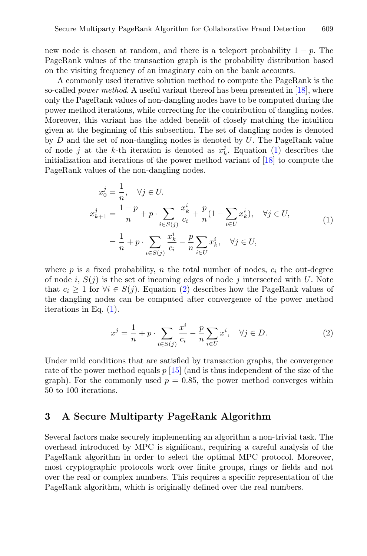new node is chosen at random, and there is a teleport probability  $1 - p$ . The PageRank values of the transaction graph is the probability distribution based on the visiting frequency of an imaginary coin on the bank accounts.

A commonly used iterative solution method to compute the PageRank is the so-called *power method*. A useful variant thereof has been presented in [\[18](#page-17-8)], where only the PageRank values of non-dangling nodes have to be computed during the power method iterations, while correcting for the contribution of dangling nodes. Moreover, this variant has the added benefit of closely matching the intuition given at the beginning of this subsection. The set of dangling nodes is denoted by  $D$  and the set of non-dangling nodes is denoted by  $U$ . The PageRank value of node j at the k-th iteration is denoted as  $x_k^j$ . Equation [\(1\)](#page-4-1) describes the initialization and iterations of the power method variant of [\[18\]](#page-17-8) to compute the PageRank values of the non-dangling nodes.

<span id="page-4-1"></span>
$$
x_0^j = \frac{1}{n}, \quad \forall j \in U.
$$
  
\n
$$
x_{k+1}^j = \frac{1-p}{n} + p \cdot \sum_{i \in S(j)} \frac{x_k^i}{c_i} + \frac{p}{n} (1 - \sum_{i \in U} x_k^i), \quad \forall j \in U,
$$
  
\n
$$
= \frac{1}{n} + p \cdot \sum_{i \in S(j)} \frac{x_k^i}{c_i} - \frac{p}{n} \sum_{i \in U} x_k^i, \quad \forall j \in U,
$$
\n(1)

where  $p$  is a fixed probability,  $n$  the total number of nodes,  $c_i$  the out-degree of node i,  $S(j)$  is the set of incoming edges of node j intersected with U. Note that  $c_i \geq 1$  for  $\forall i \in S(j)$ . Equation [\(2\)](#page-4-2) describes how the PageRank values of the dangling nodes can be computed after convergence of the power method iterations in Eq.  $(1)$ .

<span id="page-4-2"></span>
$$
x^{j} = \frac{1}{n} + p \cdot \sum_{i \in S(j)} \frac{x^{i}}{c_{i}} - \frac{p}{n} \sum_{i \in U} x^{i}, \quad \forall j \in D.
$$
 (2)

Under mild conditions that are satisfied by transaction graphs, the convergence rate of the power method equals  $p \mid 15$  (and is thus independent of the size of the graph). For the commonly used  $p = 0.85$ , the power method converges within 50 to 100 iterations.

## <span id="page-4-0"></span>**3 A Secure Multiparty PageRank Algorithm**

Several factors make securely implementing an algorithm a non-trivial task. The overhead introduced by MPC is significant, requiring a careful analysis of the PageRank algorithm in order to select the optimal MPC protocol. Moreover, most cryptographic protocols work over finite groups, rings or fields and not over the real or complex numbers. This requires a specific representation of the PageRank algorithm, which is originally defined over the real numbers.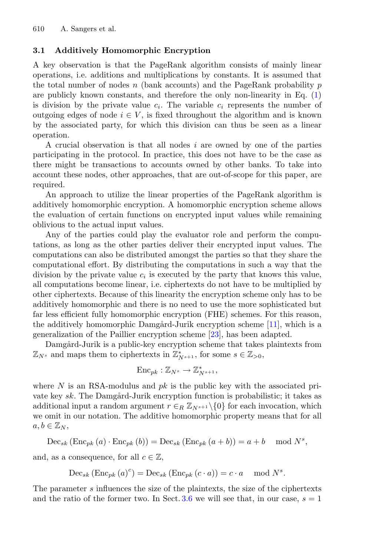# **3.1 Additively Homomorphic Encryption**

A key observation is that the PageRank algorithm consists of mainly linear operations, i.e. additions and multiplications by constants. It is assumed that the total number of nodes n (bank accounts) and the PageRank probability  $p$ are publicly known constants, and therefore the only non-linearity in Eq. [\(1\)](#page-4-1) is division by the private value  $c_i$ . The variable  $c_i$  represents the number of outgoing edges of node  $i \in V$ , is fixed throughout the algorithm and is known by the associated party, for which this division can thus be seen as a linear operation.

A crucial observation is that all nodes  $i$  are owned by one of the parties participating in the protocol. In practice, this does not have to be the case as there might be transactions to accounts owned by other banks. To take into account these nodes, other approaches, that are out-of-scope for this paper, are required.

An approach to utilize the linear properties of the PageRank algorithm is additively homomorphic encryption. A homomorphic encryption scheme allows the evaluation of certain functions on encrypted input values while remaining oblivious to the actual input values.

Any of the parties could play the evaluator role and perform the computations, as long as the other parties deliver their encrypted input values. The computations can also be distributed amongst the parties so that they share the computational effort. By distributing the computations in such a way that the division by the private value  $c_i$  is executed by the party that knows this value, all computations become linear, i.e. ciphertexts do not have to be multiplied by other ciphertexts. Because of this linearity the encryption scheme only has to be additively homomorphic and there is no need to use the more sophisticated but far less efficient fully homomorphic encryption (FHE) schemes. For this reason, the additively homomorphic Damgård-Jurik encryption scheme  $[11]$  $[11]$ , which is a generalization of the Paillier encryption scheme [\[23](#page-17-11)], has been adapted.

Damgård-Jurik is a public-key encryption scheme that takes plaintexts from  $\mathbb{Z}_{N^s}$  and maps them to ciphertexts in  $\mathbb{Z}_{N^{s+1}}^*$ , for some  $s \in \mathbb{Z}_{>0}$ ,

$$
{\rm Enc}_{pk}: \mathbb{Z}_{N^s} \rightarrow \mathbb{Z}_{N^{s+1}}^*,
$$

where N is an RSA-modulus and  $pk$  is the public key with the associated private key  $sk$ . The Damgård-Jurik encryption function is probabilistic; it takes as additional input a random argument  $r \in_R \mathbb{Z}_{N^{s+1}} \setminus \{0\}$  for each invocation, which we omit in our notation. The additive homomorphic property means that for all  $a, b \in \mathbb{Z}_N$ ,

$$
\operatorname{Dec}_{sk}(\operatorname{Enc}_{pk}(a) \cdot \operatorname{Enc}_{pk}(b)) = \operatorname{Dec}_{sk}(\operatorname{Enc}_{pk}(a+b)) = a+b \mod N^s,
$$

and, as a consequence, for all  $c \in \mathbb{Z}$ ,

$$
\operatorname{Dec}_{sk}(\operatorname{Enc}_{pk}(a)^c) = \operatorname{Dec}_{sk}(\operatorname{Enc}_{pk}(c \cdot a)) = c \cdot a \mod N^s.
$$

The parameter s influences the size of the plaintexts, the size of the ciphertexts and the ratio of the former two. In Sect. [3.6](#page-9-1) we will see that, in our case,  $s = 1$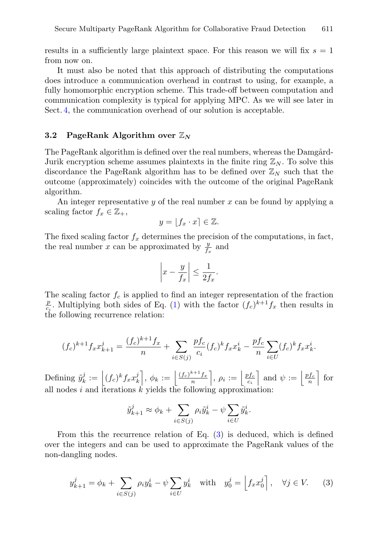results in a sufficiently large plaintext space. For this reason we will fix  $s = 1$ from now on.

It must also be noted that this approach of distributing the computations does introduce a communication overhead in contrast to using, for example, a fully homomorphic encryption scheme. This trade-off between computation and communication complexity is typical for applying MPC. As we will see later in Sect. [4,](#page-9-0) the communication overhead of our solution is acceptable.

#### <span id="page-6-1"></span>**3.2** PageRank Algorithm over  $\mathbb{Z}_N$

The PageRank algorithm is defined over the real numbers, whereas the Damgård-Jurik encryption scheme assumes plaintexts in the finite ring  $\mathbb{Z}_N$ . To solve this discordance the PageRank algorithm has to be defined over  $\mathbb{Z}_N$  such that the outcome (approximately) coincides with the outcome of the original PageRank algorithm.

An integer representative  $y$  of the real number  $x$  can be found by applying a scaling factor  $f_x \in \mathbb{Z}_+,$ 

$$
y = [f_x \cdot x] \in \mathbb{Z}.
$$

The fixed scaling factor  $f_x$  determines the precision of the computations, in fact, the real number x can be approximated by  $\frac{y}{f_x}$  and

$$
\left|x - \frac{y}{f_x}\right| \le \frac{1}{2f_x}.
$$

The scaling factor  $f_c$  is applied to find an integer representation of the fraction  $\frac{p}{c_i}$ . Multiplying both sides of Eq. [\(1\)](#page-4-1) with the factor  $(f_c)^{k+1}f_x$  then results in the following recurrence relation:

$$
(f_c)^{k+1} f_x x_{k+1}^j = \frac{(f_c)^{k+1} f_x}{n} + \sum_{i \in S(j)} \frac{p f_c}{c_i} (f_c)^k f_x x_k^i - \frac{p f_c}{n} \sum_{i \in U} (f_c)^k f_x x_k^i.
$$

Defining  $\tilde{y}_k^j := \left[ (f_c)^k f_x x_k^j \right], \phi_k := \left[ \frac{(f_c)^{k+1} f_x}{n} \right], \rho_i := \left[ \frac{p f_c}{c_i} \right]$  and  $\psi := \left[ \frac{p f_c}{n} \right]$  for all nodes  $i$  and iterations  $k$  yields the following approximation:

$$
\tilde{y}_{k+1}^j \approx \phi_k + \sum_{i \in S(j)} \rho_i \tilde{y}_k^i - \psi \sum_{i \in U} \tilde{y}_k^i.
$$

From this the recurrence relation of Eq. [\(3\)](#page-6-0) is deduced, which is defined over the integers and can be used to approximate the PageRank values of the non-dangling nodes.

<span id="page-6-0"></span>
$$
y_{k+1}^j = \phi_k + \sum_{i \in S(j)} \rho_i y_k^i - \psi \sum_{i \in U} y_k^i \quad \text{with} \quad y_0^j = \left[ f_x x_0^j \right], \quad \forall j \in V. \tag{3}
$$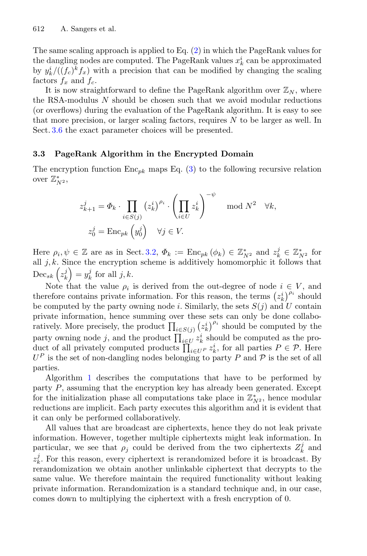The same scaling approach is applied to Eq. [\(2\)](#page-4-2) in which the PageRank values for the dangling nodes are computed. The PageRank values  $x_k^i$  can be approximated by  $y_k^i/((f_c)^k f_x)$  with a precision that can be modified by changing the scaling factors  $f_x$  and  $f_c$ .

It is now straightforward to define the PageRank algorithm over  $\mathbb{Z}_N$ , where the RSA-modulus  $N$  should be chosen such that we avoid modular reductions (or overflows) during the evaluation of the PageRank algorithm. It is easy to see that more precision, or larger scaling factors, requires  $N$  to be larger as well. In Sect. [3.6](#page-9-1) the exact parameter choices will be presented.

#### **3.3 PageRank Algorithm in the Encrypted Domain**

The encryption function  $Enc_{nk}$  maps Eq. [\(3\)](#page-6-0) to the following recursive relation over  $\mathbb{Z}_{N^2}^*$ ,

$$
z_{k+1}^j = \Phi_k \cdot \prod_{i \in S(j)} (z_k^i)^{\rho_i} \cdot \left(\prod_{i \in U} z_k^i\right)^{-\psi} \mod N^2 \quad \forall k,
$$
  

$$
z_0^j = \text{Enc}_{pk}\left(y_0^j\right) \quad \forall j \in V.
$$

Here  $\rho_i, \psi \in \mathbb{Z}$  are as in Sect. [3.2,](#page-6-1)  $\Phi_k := \text{Enc}_{pk}(\phi_k) \in \mathbb{Z}_{N^2}^*$  and  $z_k^j \in \mathbb{Z}_{N^2}^*$  for all  $j, k$ . Since the encryption scheme is additively homomorphic it follows that  $\operatorname{Dec}_{sk}\left( z_{k}^{j}\right) =y_{k}^{j}$  for all  $j,k$ .

Note that the value  $\rho_i$  is derived from the out-degree of node  $i \in V$ , and therefore contains private information. For this reason, the terms  $(z_k^i)^{\rho_i}$  should be computed by the party owning node i. Similarly, the sets  $S(j)$  and U contain private information, hence summing over these sets can only be done collaboratively. More precisely, the product  $\prod_{i \in S(j)} (z_k^i)^{\rho_i}$  should be computed by the party owning node j, and the product  $\prod_{i \in U} z_i^i$  should be computed as the product of all privately computed products  $\prod_{i\in U} z_i^i$ , for all parties  $P \in \mathcal{P}$ . Here  $U^P$  is the set of non-dangling nodes belonging to party P and P is the set of all parties.

Algorithm [1](#page-8-0) describes the computations that have to be performed by party  $P$ , assuming that the encryption key has already been generated. Except for the initialization phase all computations take place in  $\mathbb{Z}_{N^2}^*$ , hence modular reductions are implicit. Each party executes this algorithm and it is evident that it can only be performed collaboratively.

All values that are broadcast are ciphertexts, hence they do not leak private information. However, together multiple ciphertexts might leak information. In particular, we see that  $\rho_j$  could be derived from the two ciphertexts  $Z_k^j$  and  $z_k^j$ . For this reason, every ciphertext is rerandomized before it is broadcast. By rerandomization we obtain another unlinkable ciphertext that decrypts to the same value. We therefore maintain the required functionality without leaking private information. Rerandomization is a standard technique and, in our case, comes down to multiplying the ciphertext with a fresh encryption of 0.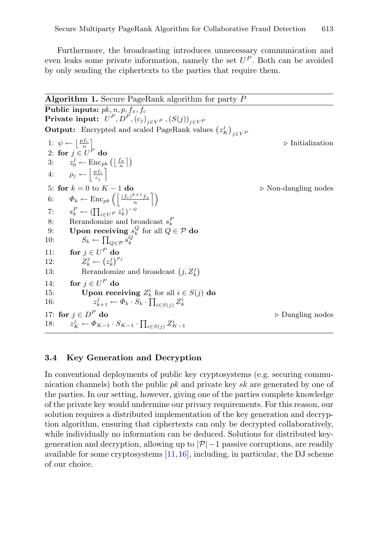Furthermore, the broadcasting introduces unnecessary communication and even leaks some private information, namely the set  $U^P$ . Both can be avoided by only sending the ciphertexts to the parties that require them.

<span id="page-8-0"></span>

|     | <b>Algorithm 1.</b> Secure PageRank algorithm for party $P$                              |                                     |
|-----|------------------------------------------------------------------------------------------|-------------------------------------|
|     | Public inputs: $pk, n, p, f_x, f_c$                                                      |                                     |
|     | <b>Private input:</b> $U^P, D^P, (c_j)_{i \in V^P}, (S(j))_{i \in V^P}$                  |                                     |
|     | <b>Output:</b> Encrypted and scaled PageRank values $(z_K^j)_{i \in V^P}$                |                                     |
|     | 1: $\psi \leftarrow \left\lfloor \frac{p_{fc}}{n} \right\rfloor$                         | $\triangleright$ Initialization     |
|     | 2: for $j \in U^P$ do                                                                    |                                     |
|     | 3: $z_0^j \leftarrow \text{Enc}_{pk}\left(\left \frac{f_x}{n}\right \right)$             |                                     |
|     | 4: $\rho_j \leftarrow \left  \frac{p f_c}{c_i} \right $                                  |                                     |
|     | 5: for $k = 0$ to $K - 1$ do                                                             | $\triangleright$ Non-dangling nodes |
|     | 6: $\Phi_k \leftarrow \text{Enc}_{pk}\left(\left \frac{(f_c)^{k+1}f_x}{n}\right \right)$ |                                     |
|     | 7: $s_k^P \leftarrow (\prod_{i \in U^P} z_k^i)^{-\psi}$                                  |                                     |
| 8:  | Rerandomize and broadcast $s_k^P$                                                        |                                     |
| 9:  | <b>Upon receiving</b> $s_k^Q$ for all $Q \in \mathcal{P}$ do                             |                                     |
| 10: | $S_k \leftarrow \prod_{Q \in \mathcal{P}} s_k^Q$                                         |                                     |
| 11: | for $j \in U^P$ do                                                                       |                                     |
| 12: | $Z_k^j \leftarrow (z_k^j)^{\rho_j}$                                                      |                                     |
| 13: | Rerandomize and broadcast $(j, Z_k^j)$                                                   |                                     |
| 14: | for $j \in U^P$ do                                                                       |                                     |
| 15: | <b>Upon receiving</b> $Z_k^i$ for all $i \in S(j)$ do                                    |                                     |
| 16: | $z_{k+1}^j \leftarrow \Phi_k \cdot S_k \cdot \prod_{i \in S(i)} Z_k^i$                   |                                     |
|     | 17: for $j \in D^P$ do                                                                   | $\triangleright$ Dangling nodes     |
|     | 18: $z_K^j \leftarrow \Phi_{K-1} \cdot S_{K-1} \cdot \prod_{i \in S(i)} Z_{K-1}^i$       |                                     |

#### **3.4 Key Generation and Decryption**

In conventional deployments of public key cryptosystems (e.g. securing communication channels) both the public  $pk$  and private key  $sk$  are generated by one of the parties. In our setting, however, giving one of the parties complete knowledge of the private key would undermine our privacy requirements. For this reason, our solution requires a distributed implementation of the key generation and decryption algorithm, ensuring that ciphertexts can only be decrypted collaboratively, while individually no information can be deduced. Solutions for distributed keygeneration and decryption, allowing up to  $|\mathcal{P}|-1$  passive corruptions, are readily available for some cryptosystems  $[11,16]$  $[11,16]$  $[11,16]$ , including, in particular, the DJ scheme of our choice.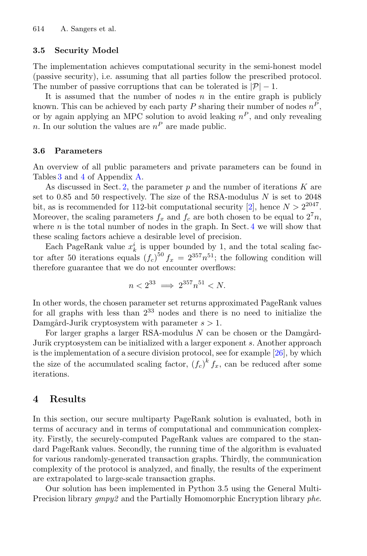#### **3.5 Security Model**

The implementation achieves computational security in the semi-honest model (passive security), i.e. assuming that all parties follow the prescribed protocol. The number of passive corruptions that can be tolerated is  $|\mathcal{P}| - 1$ .

It is assumed that the number of nodes  $n$  in the entire graph is publicly known. This can be achieved by each party P sharing their number of nodes  $n^P$ , or by again applying an MPC solution to avoid leaking  $n<sup>P</sup>$ , and only revealing n. In our solution the values are  $n^P$  are made public.

#### <span id="page-9-1"></span>**3.6 Parameters**

An overview of all public parameters and private parameters can be found in Tables [3](#page-15-0) and [4](#page-16-7) of Appendix [A.](#page-15-1)

As discussed in Sect. [2,](#page-2-0) the parameter  $p$  and the number of iterations  $K$  are set to 0.85 and 50 respectively. The size of the RSA-modulus  $N$  is set to 2048 bit, as is recommended for 112-bit computational security [\[2](#page-16-8)], hence  $N > 2^{2047}$ . Moreover, the scaling parameters  $f_x$  and  $f_c$  are both chosen to be equal to  $2^7n$ , where  $n$  is the total number of nodes in the graph. In Sect. [4](#page-9-0) we will show that these scaling factors achieve a desirable level of precision.

Each PageRank value  $x_k^i$  is upper bounded by 1, and the total scaling factor after 50 iterations equals  $(f_c)^{50} f_x = 2^{357} n^{51}$ ; the following condition will therefore guarantee that we do not encounter overflows:

$$
n < 2^{33} \implies 2^{357} n^{51} < N.
$$

In other words, the chosen parameter set returns approximated PageRank values for all graphs with less than  $2^{33}$  nodes and there is no need to initialize the Damgård-Jurik cryptosystem with parameter  $s > 1$ .

For larger graphs a larger RSA-modulus  $N$  can be chosen or the Damgård-Jurik cryptosystem can be initialized with a larger exponent s. Another approach is the implementation of a secure division protocol, see for example [\[26](#page-18-3)], by which the size of the accumulated scaling factor,  $(f_c)^k f_x$ , can be reduced after some iterations.

### <span id="page-9-0"></span>**4 Results**

In this section, our secure multiparty PageRank solution is evaluated, both in terms of accuracy and in terms of computational and communication complexity. Firstly, the securely-computed PageRank values are compared to the standard PageRank values. Secondly, the running time of the algorithm is evaluated for various randomly-generated transaction graphs. Thirdly, the communication complexity of the protocol is analyzed, and finally, the results of the experiment are extrapolated to large-scale transaction graphs.

Our solution has been implemented in Python 3.5 using the General Multi-Precision library *gmpy2* and the Partially Homomorphic Encryption library *phe*.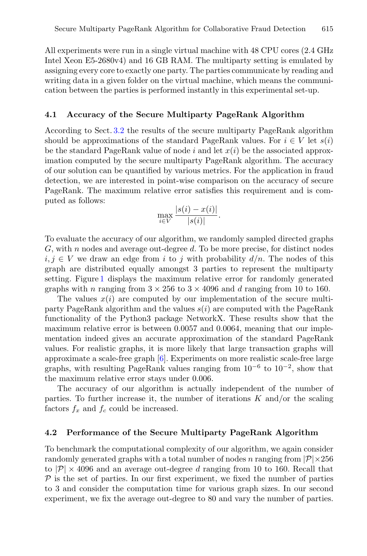All experiments were run in a single virtual machine with 48 CPU cores (2.4 GHz Intel Xeon E5-2680v4) and 16 GB RAM. The multiparty setting is emulated by assigning every core to exactly one party. The parties communicate by reading and writing data in a given folder on the virtual machine, which means the communication between the parties is performed instantly in this experimental set-up.

#### **4.1 Accuracy of the Secure Multiparty PageRank Algorithm**

According to Sect. [3.2](#page-6-1) the results of the secure multiparty PageRank algorithm should be approximations of the standard PageRank values. For  $i \in V$  let  $s(i)$ be the standard PageRank value of node i and let  $x(i)$  be the associated approximation computed by the secure multiparty PageRank algorithm. The accuracy of our solution can be quantified by various metrics. For the application in fraud detection, we are interested in point-wise comparison on the accuracy of secure PageRank. The maximum relative error satisfies this requirement and is computed as follows:

$$
\max_{i \in V} \frac{|s(i) - x(i)|}{|s(i)|}.
$$

To evaluate the accuracy of our algorithm, we randomly sampled directed graphs  $G$ , with n nodes and average out-degree  $d$ . To be more precise, for distinct nodes  $i, j \in V$  we draw an edge from i to j with probability  $d/n$ . The nodes of this graph are distributed equally amongst 3 parties to represent the multiparty setting. Figure [1](#page-11-0) displays the maximum relative error for randomly generated graphs with n ranging from  $3 \times 256$  to  $3 \times 4096$  and d ranging from 10 to 160.

The values  $x(i)$  are computed by our implementation of the secure multiparty PageRank algorithm and the values  $s(i)$  are computed with the PageRank functionality of the Python3 package NetworkX. These results show that the maximum relative error is between 0.0057 and 0.0064, meaning that our implementation indeed gives an accurate approximation of the standard PageRank values. For realistic graphs, it is more likely that large transaction graphs will approximate a scale-free graph [\[6](#page-16-9)]. Experiments on more realistic scale-free large graphs, with resulting PageRank values ranging from  $10^{-6}$  to  $10^{-2}$ , show that the maximum relative error stays under 0.006.

The accuracy of our algorithm is actually independent of the number of parties. To further increase it, the number of iterations  $K$  and/or the scaling factors  $f_x$  and  $f_c$  could be increased.

#### **4.2 Performance of the Secure Multiparty PageRank Algorithm**

To benchmark the computational complexity of our algorithm, we again consider randomly generated graphs with a total number of nodes n ranging from  $|\mathcal{P}| \times 256$ to  $|\mathcal{P}| \times 4096$  and an average out-degree d ranging from 10 to 160. Recall that  $P$  is the set of parties. In our first experiment, we fixed the number of parties to 3 and consider the computation time for various graph sizes. In our second experiment, we fix the average out-degree to 80 and vary the number of parties.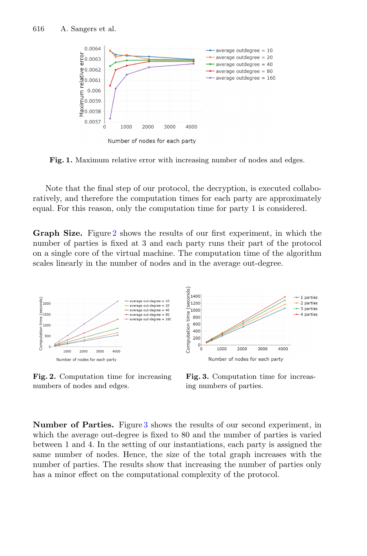<span id="page-11-0"></span>

**Fig. 1.** Maximum relative error with increasing number of nodes and edges.

Note that the final step of our protocol, the decryption, is executed collaboratively, and therefore the computation times for each party are approximately equal. For this reason, only the computation time for party 1 is considered.

**Graph Size.** Figure [2](#page-11-1) shows the results of our first experiment, in which the number of parties is fixed at 3 and each party runs their part of the protocol on a single core of the virtual machine. The computation time of the algorithm scales linearly in the number of nodes and in the average out-degree.



**Fig. 2.** Computation time for increasing numbers of nodes and edges.

<span id="page-11-2"></span><span id="page-11-1"></span>**Fig. 3.** Computation time for increasing numbers of parties.

**Number of Parties.** Figure [3](#page-11-2) shows the results of our second experiment, in which the average out-degree is fixed to 80 and the number of parties is varied between 1 and 4. In the setting of our instantiations, each party is assigned the same number of nodes. Hence, the size of the total graph increases with the number of parties. The results show that increasing the number of parties only has a minor effect on the computational complexity of the protocol.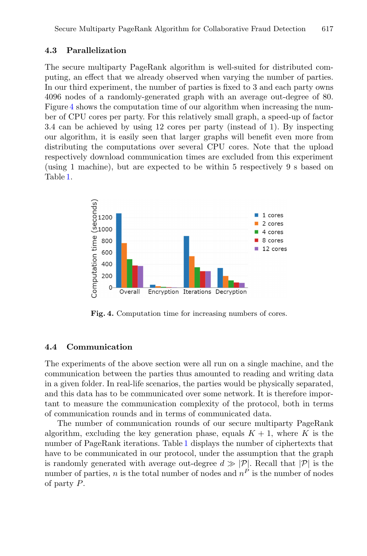#### **4.3 Parallelization**

The secure multiparty PageRank algorithm is well-suited for distributed computing, an effect that we already observed when varying the number of parties. In our third experiment, the number of parties is fixed to 3 and each party owns 4096 nodes of a randomly-generated graph with an average out-degree of 80. Figure [4](#page-12-0) shows the computation time of our algorithm when increasing the number of CPU cores per party. For this relatively small graph, a speed-up of factor 3.4 can be achieved by using 12 cores per party (instead of 1). By inspecting our algorithm, it is easily seen that larger graphs will benefit even more from distributing the computations over several CPU cores. Note that the upload respectively download communication times are excluded from this experiment (using 1 machine), but are expected to be within 5 respectively 9 s based on Table [1.](#page-13-0)



<span id="page-12-0"></span>**Fig. 4.** Computation time for increasing numbers of cores.

#### **4.4 Communication**

The experiments of the above section were all run on a single machine, and the communication between the parties thus amounted to reading and writing data in a given folder. In real-life scenarios, the parties would be physically separated, and this data has to be communicated over some network. It is therefore important to measure the communication complexity of the protocol, both in terms of communication rounds and in terms of communicated data.

The number of communication rounds of our secure multiparty PageRank algorithm, excluding the key generation phase, equals  $K + 1$ , where K is the number of PageRank iterations. Table [1](#page-13-0) displays the number of ciphertexts that have to be communicated in our protocol, under the assumption that the graph is randomly generated with average out-degree  $d \gg |\mathcal{P}|$ . Recall that  $|\mathcal{P}|$  is the number of parties, *n* is the total number of nodes and  $n<sup>P</sup>$  is the number of nodes of party P.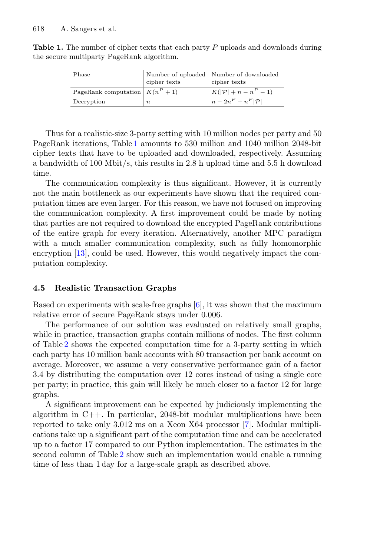| Phase                             |                  | Number of uploaded   Number of downloaded |
|-----------------------------------|------------------|-------------------------------------------|
|                                   | cipher texts     | cipher texts                              |
| PageRank computation $K(n^P + 1)$ |                  | $K( P  + n - nP - 1)$                     |
| Decryption                        | $\boldsymbol{n}$ | $\vert n-2n^P+n^P \mathcal{P}\vert$       |

<span id="page-13-0"></span>**Table 1.** The number of cipher texts that each party P uploads and downloads during the secure multiparty PageRank algorithm.

Thus for a realistic-size 3-party setting with 10 million nodes per party and 50 PageRank iterations, Table [1](#page-13-0) amounts to 530 million and 1040 million 2048-bit cipher texts that have to be uploaded and downloaded, respectively. Assuming a bandwidth of 100 Mbit/s, this results in 2.8 h upload time and 5.5 h download time.

The communication complexity is thus significant. However, it is currently not the main bottleneck as our experiments have shown that the required computation times are even larger. For this reason, we have not focused on improving the communication complexity. A first improvement could be made by noting that parties are not required to download the encrypted PageRank contributions of the entire graph for every iteration. Alternatively, another MPC paradigm with a much smaller communication complexity, such as fully homomorphic encryption [\[13\]](#page-17-13), could be used. However, this would negatively impact the computation complexity.

#### **4.5 Realistic Transaction Graphs**

Based on experiments with scale-free graphs [\[6](#page-16-9)], it was shown that the maximum relative error of secure PageRank stays under 0.006.

The performance of our solution was evaluated on relatively small graphs, while in practice, transaction graphs contain millions of nodes. The first column of Table [2](#page-14-1) shows the expected computation time for a 3-party setting in which each party has 10 million bank accounts with 80 transaction per bank account on average. Moreover, we assume a very conservative performance gain of a factor 3.4 by distributing the computation over 12 cores instead of using a single core per party; in practice, this gain will likely be much closer to a factor 12 for large graphs.

A significant improvement can be expected by judiciously implementing the algorithm in  $C_{++}$ . In particular, 2048-bit modular multiplications have been reported to take only 3.012 ms on a Xeon X64 processor [\[7](#page-16-10)]. Modular multiplications take up a significant part of the computation time and can be accelerated up to a factor 17 compared to our Python implementation. The estimates in the second column of Table [2](#page-14-1) show such an implementation would enable a running time of less than 1 day for a large-scale graph as described above.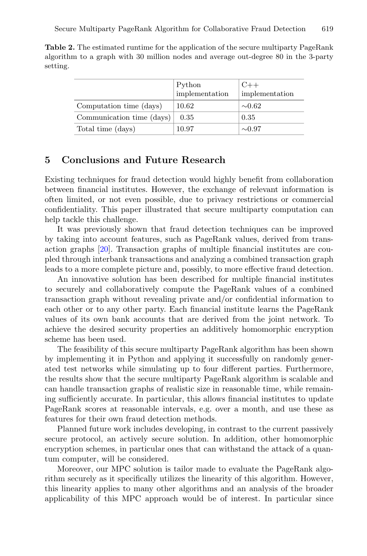|                           | Python<br>implementation | $C++$<br>implementation |
|---------------------------|--------------------------|-------------------------|
| Computation time (days)   | 10.62                    | $\sim 0.62$             |
| Communication time (days) | 0.35                     | 0.35                    |
| Total time (days)         | 10.97                    | $\sim 0.97$             |

<span id="page-14-1"></span>**Table 2.** The estimated runtime for the application of the secure multiparty PageRank algorithm to a graph with 30 million nodes and average out-degree 80 in the 3-party setting.

# <span id="page-14-0"></span>**5 Conclusions and Future Research**

Existing techniques for fraud detection would highly benefit from collaboration between financial institutes. However, the exchange of relevant information is often limited, or not even possible, due to privacy restrictions or commercial confidentiality. This paper illustrated that secure multiparty computation can help tackle this challenge.

It was previously shown that fraud detection techniques can be improved by taking into account features, such as PageRank values, derived from transaction graphs [\[20\]](#page-17-7). Transaction graphs of multiple financial institutes are coupled through interbank transactions and analyzing a combined transaction graph leads to a more complete picture and, possibly, to more effective fraud detection.

An innovative solution has been described for multiple financial institutes to securely and collaboratively compute the PageRank values of a combined transaction graph without revealing private and/or confidential information to each other or to any other party. Each financial institute learns the PageRank values of its own bank accounts that are derived from the joint network. To achieve the desired security properties an additively homomorphic encryption scheme has been used.

The feasibility of this secure multiparty PageRank algorithm has been shown by implementing it in Python and applying it successfully on randomly generated test networks while simulating up to four different parties. Furthermore, the results show that the secure multiparty PageRank algorithm is scalable and can handle transaction graphs of realistic size in reasonable time, while remaining sufficiently accurate. In particular, this allows financial institutes to update PageRank scores at reasonable intervals, e.g. over a month, and use these as features for their own fraud detection methods.

Planned future work includes developing, in contrast to the current passively secure protocol, an actively secure solution. In addition, other homomorphic encryption schemes, in particular ones that can withstand the attack of a quantum computer, will be considered.

Moreover, our MPC solution is tailor made to evaluate the PageRank algorithm securely as it specifically utilizes the linearity of this algorithm. However, this linearity applies to many other algorithms and an analysis of the broader applicability of this MPC approach would be of interest. In particular since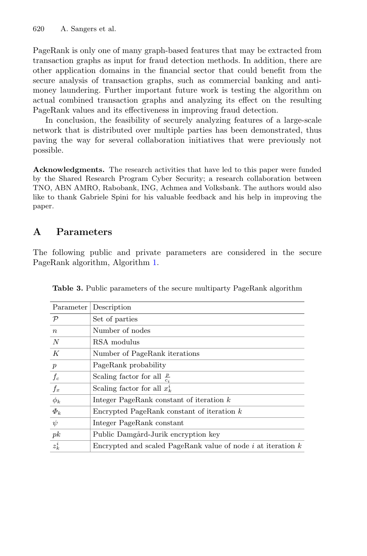PageRank is only one of many graph-based features that may be extracted from transaction graphs as input for fraud detection methods. In addition, there are other application domains in the financial sector that could benefit from the secure analysis of transaction graphs, such as commercial banking and antimoney laundering. Further important future work is testing the algorithm on actual combined transaction graphs and analyzing its effect on the resulting PageRank values and its effectiveness in improving fraud detection.

In conclusion, the feasibility of securely analyzing features of a large-scale network that is distributed over multiple parties has been demonstrated, thus paving the way for several collaboration initiatives that were previously not possible.

**Acknowledgments.** The research activities that have led to this paper were funded by the Shared Research Program Cyber Security; a research collaboration between TNO, ABN AMRO, Rabobank, ING, Achmea and Volksbank. The authors would also like to thank Gabriele Spini for his valuable feedback and his help in improving the paper.

# <span id="page-15-1"></span>**A Parameters**

The following public and private parameters are considered in the secure PageRank algorithm, Algorithm [1.](#page-8-0)

| Parameter        | Description                                                      |
|------------------|------------------------------------------------------------------|
| $\mathcal{P}$    | Set of parties                                                   |
| $\boldsymbol{n}$ | Number of nodes                                                  |
| N                | RSA modulus                                                      |
| К                | Number of PageRank iterations                                    |
| $\boldsymbol{p}$ | PageRank probability                                             |
| $f_c$            | Scaling factor for all $\frac{p}{c_i}$                           |
| $f_x$            | Scaling factor for all $x_k^i$ .                                 |
| $\phi_k$         | Integer PageRank constant of iteration $k$                       |
| $\Phi_k$         | Encrypted PageRank constant of iteration $k$                     |
| $\psi$           | Integer PageRank constant                                        |
| pk               | Public Damgård-Jurik encryption key                              |
| $z_k^i$          | Encrypted and scaled PageRank value of node $i$ at iteration $k$ |

<span id="page-15-0"></span>**Table 3.** Public parameters of the secure multiparty PageRank algorithm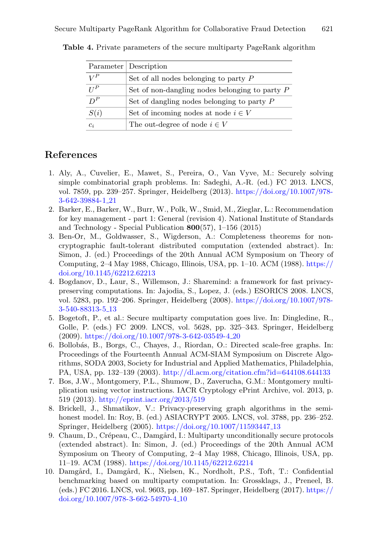|        | Parameter   Description                          |
|--------|--------------------------------------------------|
| $V^P$  | Set of all nodes belonging to party $P$          |
| $II^P$ | Set of non-dangling nodes belonging to party $P$ |
| $D^P$  | Set of dangling nodes belonging to party $P$     |
| S(i)   | Set of incoming nodes at node $i \in V$          |
| $c_i$  | The out-degree of node $i \in V$                 |

<span id="page-16-7"></span>**Table 4.** Private parameters of the secure multiparty PageRank algorithm

# **References**

- <span id="page-16-6"></span>1. Aly, A., Cuvelier, E., Mawet, S., Pereira, O., Van Vyve, M.: Securely solving simple combinatorial graph problems. In: Sadeghi, A.-R. (ed.) FC 2013. LNCS, vol. 7859, pp. 239–257. Springer, Heidelberg (2013). [https://doi.org/10.1007/978-](https://doi.org/10.1007/978-3-642-39884-1_21) [3-642-39884-1](https://doi.org/10.1007/978-3-642-39884-1_21) 21
- <span id="page-16-8"></span>2. Barker, E., Barker, W., Burr, W., Polk, W., Smid, M., Zieglar, L.: Recommendation for key management - part 1: General (revision 4). National Institute of Standards and Technology - Special Publication **800**(57), 1–156 (2015)
- <span id="page-16-0"></span>3. Ben-Or, M., Goldwasser, S., Wigderson, A.: Completeness theorems for noncryptographic fault-tolerant distributed computation (extended abstract). In: Simon, J. (ed.) Proceedings of the 20th Annual ACM Symposium on Theory of Computing, 2–4 May 1988, Chicago, Illinois, USA, pp. 1–10. ACM (1988). [https://](https://doi.org/10.1145/62212.62213) [doi.org/10.1145/62212.62213](https://doi.org/10.1145/62212.62213)
- <span id="page-16-2"></span>4. Bogdanov, D., Laur, S., Willemson, J.: Sharemind: a framework for fast privacypreserving computations. In: Jajodia, S., Lopez, J. (eds.) ESORICS 2008. LNCS, vol. 5283, pp. 192–206. Springer, Heidelberg (2008). [https://doi.org/10.1007/978-](https://doi.org/10.1007/978-3-540-88313-5_13) [3-540-88313-5](https://doi.org/10.1007/978-3-540-88313-5_13) 13
- <span id="page-16-3"></span>5. Bogetoft, P., et al.: Secure multiparty computation goes live. In: Dingledine, R., Golle, P. (eds.) FC 2009. LNCS, vol. 5628, pp. 325–343. Springer, Heidelberg (2009). [https://doi.org/10.1007/978-3-642-03549-4](https://doi.org/10.1007/978-3-642-03549-4_20) 20
- <span id="page-16-9"></span>6. Bollob´as, B., Borgs, C., Chayes, J., Riordan, O.: Directed scale-free graphs. In: Proceedings of the Fourteenth Annual ACM-SIAM Symposium on Discrete Algorithms, SODA 2003, Society for Industrial and Applied Mathematics, Philadelphia, PA, USA, pp. 132–139 (2003). <http://dl.acm.org/citation.cfm?id=644108.644133>
- <span id="page-16-10"></span>7. Bos, J.W., Montgomery, P.L., Shumow, D., Zaverucha, G.M.: Montgomery multiplication using vector instructions. IACR Cryptology ePrint Archive, vol. 2013, p. 519 (2013). <http://eprint.iacr.org/2013/519>
- <span id="page-16-5"></span>8. Brickell, J., Shmatikov, V.: Privacy-preserving graph algorithms in the semihonest model. In: Roy, B. (ed.) ASIACRYPT 2005. LNCS, vol. 3788, pp. 236–252. Springer, Heidelberg (2005). [https://doi.org/10.1007/11593447](https://doi.org/10.1007/11593447_13) 13
- <span id="page-16-1"></span>9. Chaum, D., Crépeau, C., Damgård, I.: Multiparty unconditionally secure protocols (extended abstract). In: Simon, J. (ed.) Proceedings of the 20th Annual ACM Symposium on Theory of Computing, 2–4 May 1988, Chicago, Illinois, USA, pp. 11–19. ACM (1988). <https://doi.org/10.1145/62212.62214>
- <span id="page-16-4"></span>10. Damgård, I., Damgård, K., Nielsen, K., Nordholt, P.S., Toft, T.: Confidential benchmarking based on multiparty computation. In: Grossklags, J., Preneel, B. (eds.) FC 2016. LNCS, vol. 9603, pp. 169–187. Springer, Heidelberg (2017). [https://](https://doi.org/10.1007/978-3-662-54970-4_10) [doi.org/10.1007/978-3-662-54970-4](https://doi.org/10.1007/978-3-662-54970-4_10) 10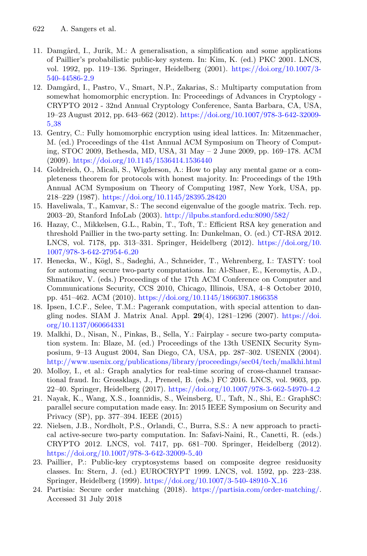- <span id="page-17-10"></span>11. Damgård, I., Jurik, M.: A generalisation, a simplification and some applications of Paillier's probabilistic public-key system. In: Kim, K. (ed.) PKC 2001. LNCS, vol. 1992, pp. 119–136. Springer, Heidelberg (2001). [https://doi.org/10.1007/3-](https://doi.org/10.1007/3-540-44586-2_9) [540-44586-2](https://doi.org/10.1007/3-540-44586-2_9) 9
- <span id="page-17-1"></span>12. Damgård, I., Pastro, V., Smart, N.P., Zakarias, S.: Multiparty computation from somewhat homomorphic encryption. In: Proceedings of Advances in Cryptology - CRYPTO 2012 - 32nd Annual Cryptology Conference, Santa Barbara, CA, USA, 19–23 August 2012, pp. 643–662 (2012). [https://doi.org/10.1007/978-3-642-32009-](https://doi.org/10.1007/978-3-642-32009-5_38) 5 [38](https://doi.org/10.1007/978-3-642-32009-5_38)
- <span id="page-17-13"></span>13. Gentry, C.: Fully homomorphic encryption using ideal lattices. In: Mitzenmacher, M. (ed.) Proceedings of the 41st Annual ACM Symposium on Theory of Computing, STOC 2009, Bethesda, MD, USA, 31 May – 2 June 2009, pp. 169–178. ACM (2009). <https://doi.org/10.1145/1536414.1536440>
- <span id="page-17-0"></span>14. Goldreich, O., Micali, S., Wigderson, A.: How to play any mental game or a completeness theorem for protocols with honest majority. In: Proceedings of the 19th Annual ACM Symposium on Theory of Computing 1987, New York, USA, pp. 218–229 (1987). <https://doi.org/10.1145/28395.28420>
- <span id="page-17-9"></span>15. Haveliwala, T., Kamvar, S.: The second eigenvalue of the google matrix. Tech. rep. 2003–20, Stanford InfoLab (2003). <http://ilpubs.stanford.edu:8090/582/>
- <span id="page-17-12"></span>16. Hazay, C., Mikkelsen, G.L., Rabin, T., Toft, T.: Efficient RSA key generation and threshold Paillier in the two-party setting. In: Dunkelman, O. (ed.) CT-RSA 2012. LNCS, vol. 7178, pp. 313–331. Springer, Heidelberg (2012). [https://doi.org/10.](https://doi.org/10.1007/978-3-642-27954-6_20) [1007/978-3-642-27954-6](https://doi.org/10.1007/978-3-642-27954-6_20) 20
- <span id="page-17-2"></span>17. Henecka, W., Kögl, S., Sadeghi, A., Schneider, T., Wehrenberg, I.: TASTY: tool for automating secure two-party computations. In: Al-Shaer, E., Keromytis, A.D., Shmatikov, V. (eds.) Proceedings of the 17th ACM Conference on Computer and Communications Security, CCS 2010, Chicago, Illinois, USA, 4–8 October 2010, pp. 451–462. ACM (2010). <https://doi.org/10.1145/1866307.1866358>
- <span id="page-17-8"></span>18. Ipsen, I.C.F., Selee, T.M.: Pagerank computation, with special attention to dangling nodes. SIAM J. Matrix Anal. Appl. **29**(4), 1281–1296 (2007). [https://doi.](https://doi.org/10.1137/060664331) [org/10.1137/060664331](https://doi.org/10.1137/060664331)
- <span id="page-17-3"></span>19. Malkhi, D., Nisan, N., Pinkas, B., Sella, Y.: Fairplay - secure two-party computation system. In: Blaze, M. (ed.) Proceedings of the 13th USENIX Security Symposium, 9–13 August 2004, San Diego, CA, USA, pp. 287–302. USENIX (2004). <http://www.usenix.org/publications/library/proceedings/sec04/tech/malkhi.html>
- <span id="page-17-7"></span>20. Molloy, I., et al.: Graph analytics for real-time scoring of cross-channel transactional fraud. In: Grossklags, J., Preneel, B. (eds.) FC 2016. LNCS, vol. 9603, pp. 22–40. Springer, Heidelberg (2017). [https://doi.org/10.1007/978-3-662-54970-4](https://doi.org/10.1007/978-3-662-54970-4_2) 2
- <span id="page-17-6"></span>21. Nayak, K., Wang, X.S., Ioannidis, S., Weinsberg, U., Taft, N., Shi, E.: GraphSC: parallel secure computation made easy. In: 2015 IEEE Symposium on Security and Privacy (SP), pp. 377–394. IEEE (2015)
- <span id="page-17-4"></span>22. Nielsen, J.B., Nordholt, P.S., Orlandi, C., Burra, S.S.: A new approach to practical active-secure two-party computation. In: Safavi-Naini, R., Canetti, R. (eds.) CRYPTO 2012. LNCS, vol. 7417, pp. 681–700. Springer, Heidelberg (2012). [https://doi.org/10.1007/978-3-642-32009-5](https://doi.org/10.1007/978-3-642-32009-5_40) 40
- <span id="page-17-11"></span>23. Paillier, P.: Public-key cryptosystems based on composite degree residuosity classes. In: Stern, J. (ed.) EUROCRYPT 1999. LNCS, vol. 1592, pp. 223–238. Springer, Heidelberg (1999). [https://doi.org/10.1007/3-540-48910-X](https://doi.org/10.1007/3-540-48910-X_16) 16
- <span id="page-17-5"></span>24. Partisia: Secure order matching (2018). [https://partisia.com/order-matching/.](https://partisia.com/order-matching/) Accessed 31 July 2018